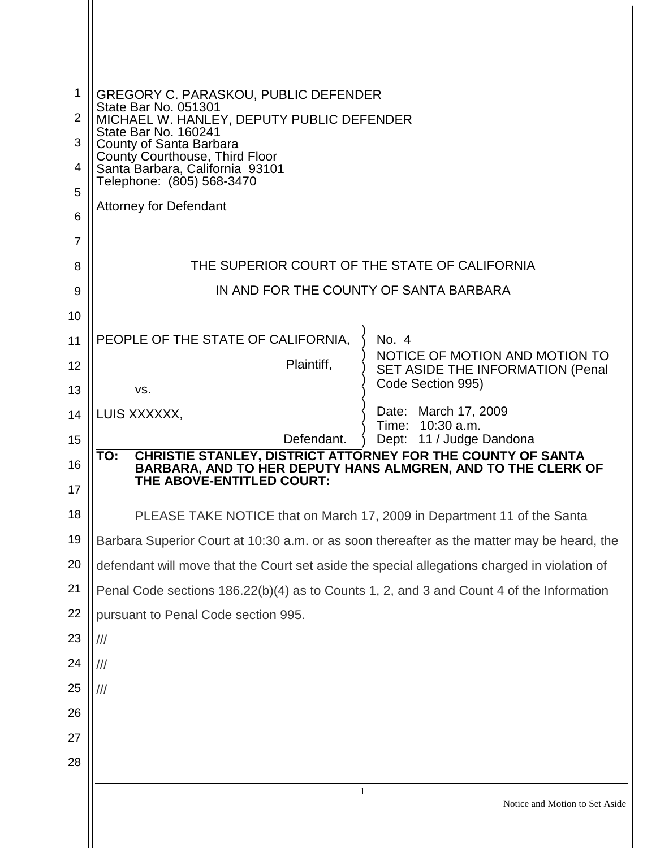| 1        | <b>GREGORY C. PARASKOU, PUBLIC DEFENDER</b>                                                                         |
|----------|---------------------------------------------------------------------------------------------------------------------|
| 2        | State Bar No. 051301<br>MICHAEL W. HANLEY, DEPUTY PUBLIC DEFENDER                                                   |
| 3        | State Bar No. 160241<br>County of Santa Barbara                                                                     |
| 4        | County Courthouse, Third Floor<br>Santa Barbara, California 93101                                                   |
| 5        | Telephone: (805) 568-3470                                                                                           |
| 6        | <b>Attorney for Defendant</b>                                                                                       |
| 7        |                                                                                                                     |
| 8        | THE SUPERIOR COURT OF THE STATE OF CALIFORNIA                                                                       |
| 9        | IN AND FOR THE COUNTY OF SANTA BARBARA                                                                              |
| 10       |                                                                                                                     |
| 11       | PEOPLE OF THE STATE OF CALIFORNIA,<br>No. 4<br>NOTICE OF MOTION AND MOTION TO                                       |
| 12       | Plaintiff,<br>SET ASIDE THE INFORMATION (Penal                                                                      |
| 13       | Code Section 995)<br>VS.                                                                                            |
| 14       | Date: March 17, 2009<br>LUIS XXXXXX,<br>Time: 10:30 a.m.                                                            |
| 15       | Defendant.<br>Dept: 11 / Judge Dandona<br><b>CHRISTIE STANLEY, DISTRICT ATTORNEY FOR THE COUNTY OF SANTA</b><br>TO: |
| 16<br>17 | BARBARA, AND TO HER DEPUTY HANS ALMGREN, AND TO THE CLERK OF<br>THE ABOVE-ENTITLED COURT:                           |
| 18       | PLEASE TAKE NOTICE that on March 17, 2009 in Department 11 of the Santa                                             |
| 19       | Barbara Superior Court at 10:30 a.m. or as soon thereafter as the matter may be heard, the                          |
| 20       | defendant will move that the Court set aside the special allegations charged in violation of                        |
| 21       | Penal Code sections 186.22(b)(4) as to Counts 1, 2, and 3 and Count 4 of the Information                            |
| 22       | pursuant to Penal Code section 995.                                                                                 |
| 23       | ///                                                                                                                 |
| 24       | ///                                                                                                                 |
| 25       | $\frac{1}{1}$                                                                                                       |
| 26       |                                                                                                                     |
| 27       |                                                                                                                     |
| 28       |                                                                                                                     |
|          | $\mathbf{1}$<br>Notice and Motion to Set Asid                                                                       |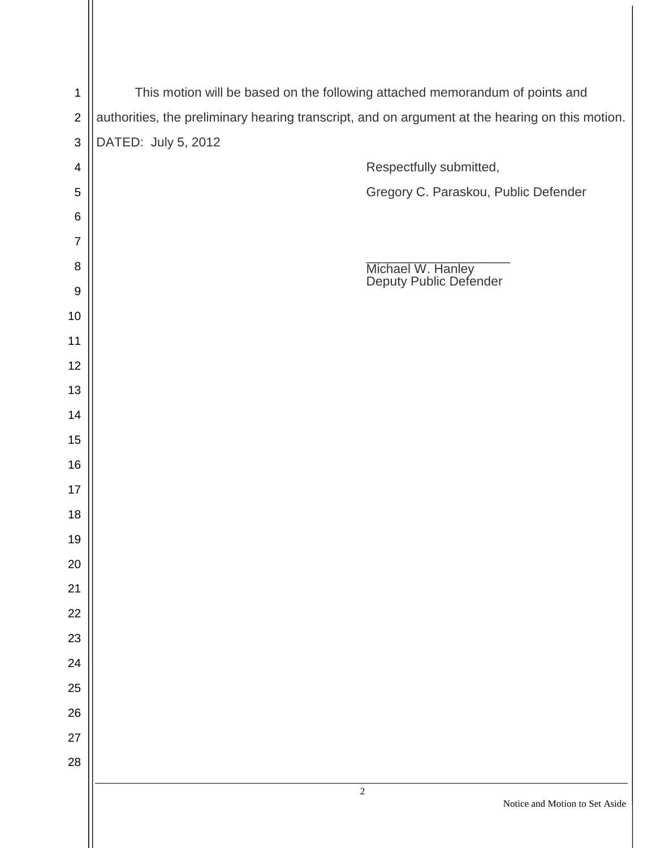| $\mathbf 1$              | This motion will be based on the following attached memorandum of points and                    |
|--------------------------|-------------------------------------------------------------------------------------------------|
| $\mathbf 2$              | authorities, the preliminary hearing transcript, and on argument at the hearing on this motion. |
| 3                        | DATED: July 5, 2012                                                                             |
| $\overline{\mathcal{A}}$ | Respectfully submitted,                                                                         |
| 5                        | Gregory C. Paraskou, Public Defender                                                            |
| $\,6$                    |                                                                                                 |
| 7                        |                                                                                                 |
| 8                        | Michael W. Hanley<br>Deputy Public Defender                                                     |
| $9\,$                    |                                                                                                 |
| 10                       |                                                                                                 |
| 11                       |                                                                                                 |
| 12                       |                                                                                                 |
| 13                       |                                                                                                 |
| 14                       |                                                                                                 |
| 15                       |                                                                                                 |
| 16                       |                                                                                                 |
| 17                       |                                                                                                 |
| 18                       |                                                                                                 |
| 19                       |                                                                                                 |
| 20                       |                                                                                                 |
| 21                       |                                                                                                 |
| 22                       |                                                                                                 |
| 23                       |                                                                                                 |
| 24                       |                                                                                                 |
| 25                       |                                                                                                 |
| 26                       |                                                                                                 |
| 27                       |                                                                                                 |
| 28                       |                                                                                                 |
|                          | $\sqrt{2}$<br>Notice and Motion to Set Aside                                                    |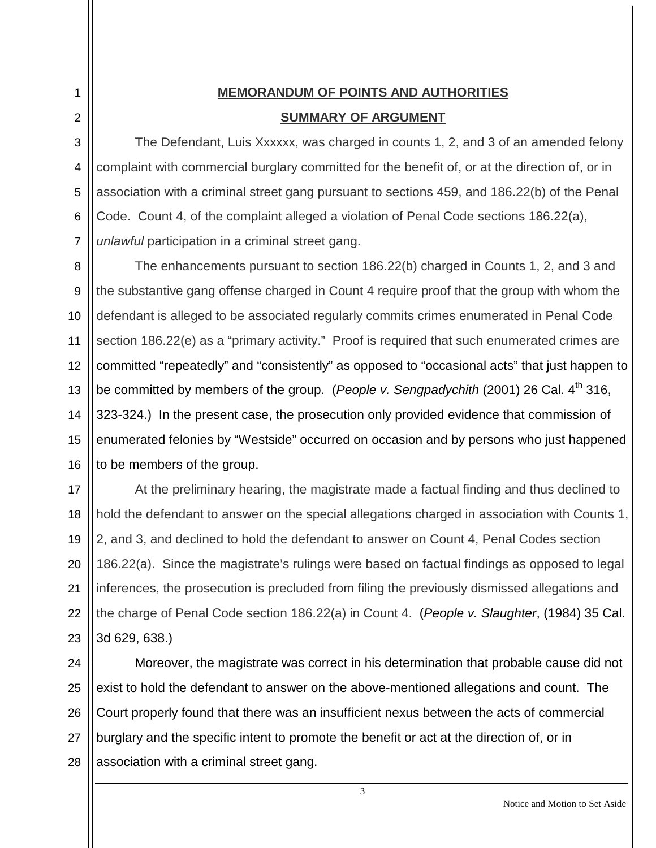# **MEMORANDUM OF POINTS AND AUTHORITIES SUMMARY OF ARGUMENT**

1

2

3

4

5

6

7

8

9

10

11

12

13

14

15

16

The Defendant, Luis Xxxxxx, was charged in counts 1, 2, and 3 of an amended felony complaint with commercial burglary committed for the benefit of, or at the direction of, or in association with a criminal street gang pursuant to sections 459, and 186.22(b) of the Penal Code. Count 4, of the complaint alleged a violation of Penal Code sections 186.22(a), *unlawful* participation in a criminal street gang.

The enhancements pursuant to section 186.22(b) charged in Counts 1, 2, and 3 and the substantive gang offense charged in Count 4 require proof that the group with whom the defendant is alleged to be associated regularly commits crimes enumerated in Penal Code section 186.22(e) as a "primary activity." Proof is required that such enumerated crimes are committed "repeatedly" and "consistently" as opposed to "occasional acts" that just happen to be committed by members of the group. (*People v. Sengpadychith* (2001) 26 Cal. 4<sup>th</sup> 316, 323-324.) In the present case, the prosecution only provided evidence that commission of enumerated felonies by "Westside" occurred on occasion and by persons who just happened to be members of the group.

17 18 19 20 21 22 23 At the preliminary hearing, the magistrate made a factual finding and thus declined to hold the defendant to answer on the special allegations charged in association with Counts 1, 2, and 3, and declined to hold the defendant to answer on Count 4, Penal Codes section 186.22(a). Since the magistrate's rulings were based on factual findings as opposed to legal inferences, the prosecution is precluded from filing the previously dismissed allegations and the charge of Penal Code section 186.22(a) in Count 4. (*People v. Slaughter*, (1984) 35 Cal. 3d 629, 638.)

24 25 26 27 28 Moreover, the magistrate was correct in his determination that probable cause did not exist to hold the defendant to answer on the above-mentioned allegations and count. The Court properly found that there was an insufficient nexus between the acts of commercial burglary and the specific intent to promote the benefit or act at the direction of, or in association with a criminal street gang.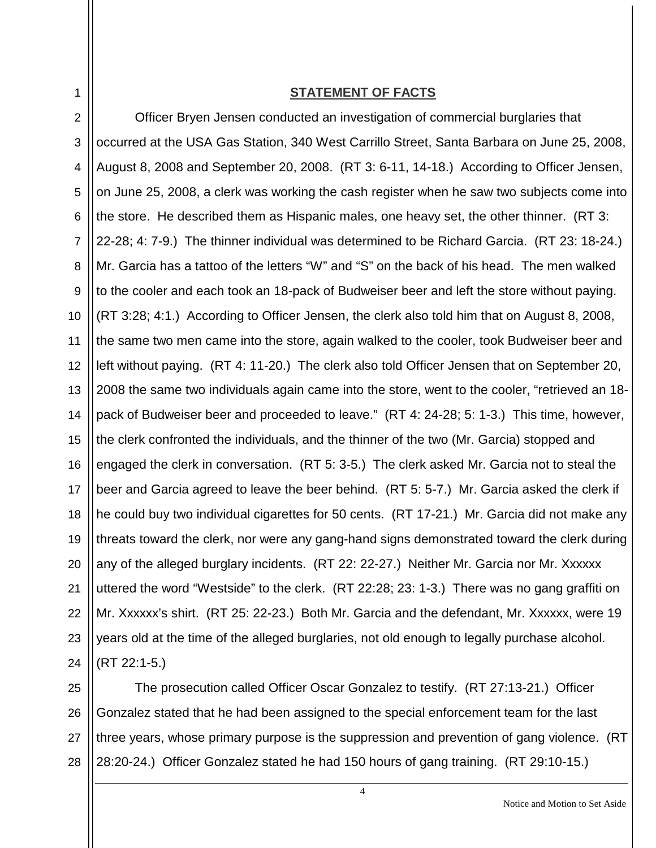1

#### **STATEMENT OF FACTS**

2 3 4 5 6 7 8 9 10 11 12 13 14 15 16 17 18 19 20 21 22 23 24 Officer Bryen Jensen conducted an investigation of commercial burglaries that occurred at the USA Gas Station, 340 West Carrillo Street, Santa Barbara on June 25, 2008, August 8, 2008 and September 20, 2008. (RT 3: 6-11, 14-18.) According to Officer Jensen, on June 25, 2008, a clerk was working the cash register when he saw two subjects come into the store. He described them as Hispanic males, one heavy set, the other thinner. (RT 3: 22-28; 4: 7-9.) The thinner individual was determined to be Richard Garcia. (RT 23: 18-24.) Mr. Garcia has a tattoo of the letters "W" and "S" on the back of his head. The men walked to the cooler and each took an 18-pack of Budweiser beer and left the store without paying. (RT 3:28; 4:1.) According to Officer Jensen, the clerk also told him that on August 8, 2008, the same two men came into the store, again walked to the cooler, took Budweiser beer and left without paying. (RT 4: 11-20.) The clerk also told Officer Jensen that on September 20, 2008 the same two individuals again came into the store, went to the cooler, "retrieved an 18 pack of Budweiser beer and proceeded to leave." (RT 4: 24-28; 5: 1-3.) This time, however, the clerk confronted the individuals, and the thinner of the two (Mr. Garcia) stopped and engaged the clerk in conversation. (RT 5: 3-5.) The clerk asked Mr. Garcia not to steal the beer and Garcia agreed to leave the beer behind. (RT 5: 5-7.) Mr. Garcia asked the clerk if he could buy two individual cigarettes for 50 cents. (RT 17-21.) Mr. Garcia did not make any threats toward the clerk, nor were any gang-hand signs demonstrated toward the clerk during any of the alleged burglary incidents. (RT 22: 22-27.) Neither Mr. Garcia nor Mr. Xxxxxx uttered the word "Westside" to the clerk. (RT 22:28; 23: 1-3.) There was no gang graffiti on Mr. Xxxxxx's shirt. (RT 25: 22-23.) Both Mr. Garcia and the defendant, Mr. Xxxxxx, were 19 years old at the time of the alleged burglaries, not old enough to legally purchase alcohol. (RT 22:1-5.)

25 26 27 28 The prosecution called Officer Oscar Gonzalez to testify. (RT 27:13-21.) Officer Gonzalez stated that he had been assigned to the special enforcement team for the last three years, whose primary purpose is the suppression and prevention of gang violence. (RT 28:20-24.) Officer Gonzalez stated he had 150 hours of gang training. (RT 29:10-15.)

4

Notice and Motion to Set Aside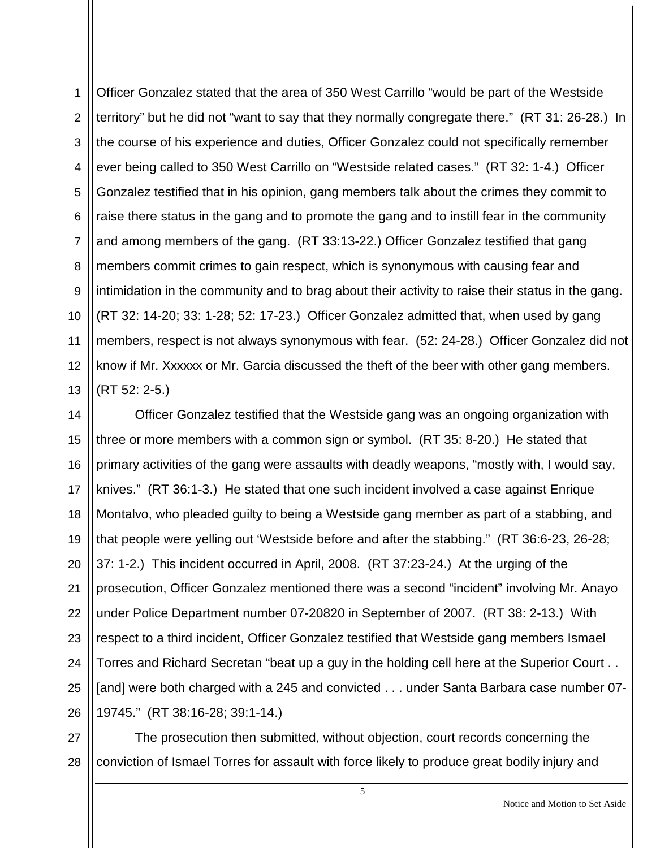1 2 3 4 5 6 7 8 9 10 11 12 13 Officer Gonzalez stated that the area of 350 West Carrillo "would be part of the Westside territory" but he did not "want to say that they normally congregate there." (RT 31: 26-28.) In the course of his experience and duties, Officer Gonzalez could not specifically remember ever being called to 350 West Carrillo on "Westside related cases." (RT 32: 1-4.) Officer Gonzalez testified that in his opinion, gang members talk about the crimes they commit to raise there status in the gang and to promote the gang and to instill fear in the community and among members of the gang. (RT 33:13-22.) Officer Gonzalez testified that gang members commit crimes to gain respect, which is synonymous with causing fear and intimidation in the community and to brag about their activity to raise their status in the gang. (RT 32: 14-20; 33: 1-28; 52: 17-23.) Officer Gonzalez admitted that, when used by gang members, respect is not always synonymous with fear. (52: 24-28.) Officer Gonzalez did not know if Mr. Xxxxxx or Mr. Garcia discussed the theft of the beer with other gang members. (RT 52: 2-5.)

14 15 16 17 18 19 20 21 22 23 24 25 26 Officer Gonzalez testified that the Westside gang was an ongoing organization with three or more members with a common sign or symbol. (RT 35: 8-20.) He stated that primary activities of the gang were assaults with deadly weapons, "mostly with, I would say, knives." (RT 36:1-3.) He stated that one such incident involved a case against Enrique Montalvo, who pleaded guilty to being a Westside gang member as part of a stabbing, and that people were yelling out 'Westside before and after the stabbing." (RT 36:6-23, 26-28; 37: 1-2.) This incident occurred in April, 2008. (RT 37:23-24.) At the urging of the prosecution, Officer Gonzalez mentioned there was a second "incident" involving Mr. Anayo under Police Department number 07-20820 in September of 2007. (RT 38: 2-13.) With respect to a third incident, Officer Gonzalez testified that Westside gang members Ismael Torres and Richard Secretan "beat up a guy in the holding cell here at the Superior Court . . [and] were both charged with a 245 and convicted . . . under Santa Barbara case number 07- 19745." (RT 38:16-28; 39:1-14.)

27 28 The prosecution then submitted, without objection, court records concerning the conviction of Ismael Torres for assault with force likely to produce great bodily injury and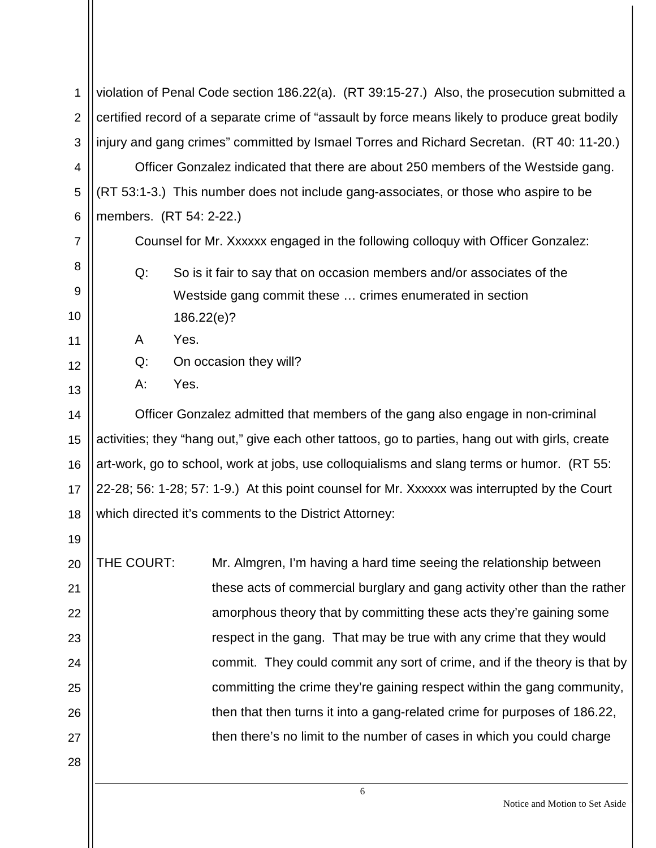| 1              | violation of Penal Code section 186.22(a). (RT 39:15-27.) Also, the prosecution submitted a      |  |
|----------------|--------------------------------------------------------------------------------------------------|--|
| $\overline{2}$ | certified record of a separate crime of "assault by force means likely to produce great bodily   |  |
| 3              | injury and gang crimes" committed by Ismael Torres and Richard Secretan. (RT 40: 11-20.)         |  |
| 4              | Officer Gonzalez indicated that there are about 250 members of the Westside gang.                |  |
| 5              | (RT 53:1-3.) This number does not include gang-associates, or those who aspire to be             |  |
| 6              | members. (RT 54: 2-22.)                                                                          |  |
| $\overline{7}$ | Counsel for Mr. Xxxxxx engaged in the following colloquy with Officer Gonzalez:                  |  |
| 8              | Q:<br>So is it fair to say that on occasion members and/or associates of the                     |  |
| 9              | Westside gang commit these  crimes enumerated in section                                         |  |
| 10             | 186.22(e)?                                                                                       |  |
| 11             | Yes.<br>A                                                                                        |  |
| 12             | Q:<br>On occasion they will?                                                                     |  |
| 13             | Yes.<br>A:                                                                                       |  |
| 14             | Officer Gonzalez admitted that members of the gang also engage in non-criminal                   |  |
| 15             | activities; they "hang out," give each other tattoos, go to parties, hang out with girls, create |  |
| 16             | art-work, go to school, work at jobs, use colloquialisms and slang terms or humor. (RT 55:       |  |
| 17             | 22-28; 56: 1-28; 57: 1-9.) At this point counsel for Mr. Xxxxxx was interrupted by the Court     |  |
| 18             | which directed it's comments to the District Attorney:                                           |  |
| 19             |                                                                                                  |  |
| 20             | THE COURT:<br>Mr. Almgren, I'm having a hard time seeing the relationship between                |  |
| 21             | these acts of commercial burglary and gang activity other than the rather                        |  |
| 22             | amorphous theory that by committing these acts they're gaining some                              |  |
| 23             | respect in the gang. That may be true with any crime that they would                             |  |
| 24             | commit. They could commit any sort of crime, and if the theory is that by                        |  |
| 25             | committing the crime they're gaining respect within the gang community,                          |  |
| 26             | then that then turns it into a gang-related crime for purposes of 186.22,                        |  |
| 27             | then there's no limit to the number of cases in which you could charge                           |  |
| 28             |                                                                                                  |  |
|                | 6                                                                                                |  |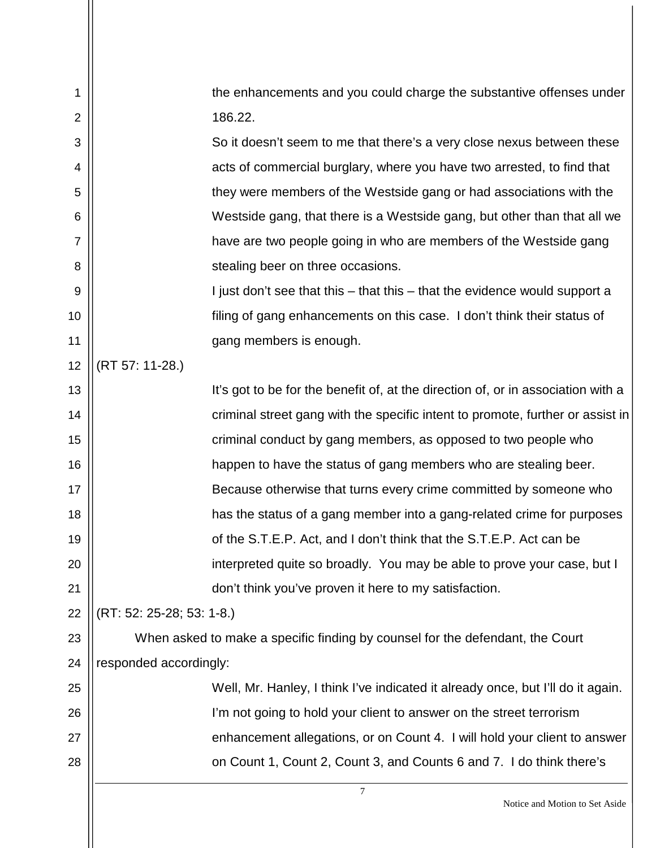| 1              | the enhancements and you could charge the substantive offenses under             |
|----------------|----------------------------------------------------------------------------------|
| $\overline{2}$ | 186.22.                                                                          |
| 3              | So it doesn't seem to me that there's a very close nexus between these           |
| 4              | acts of commercial burglary, where you have two arrested, to find that           |
| 5              | they were members of the Westside gang or had associations with the              |
| 6              | Westside gang, that there is a Westside gang, but other than that all we         |
| $\overline{7}$ | have are two people going in who are members of the Westside gang                |
| 8              | stealing beer on three occasions.                                                |
| 9              | I just don't see that this – that this – that the evidence would support a       |
| 10             | filing of gang enhancements on this case. I don't think their status of          |
| 11             | gang members is enough.                                                          |
| 12             | (RT 57: 11-28.)                                                                  |
| 13             | It's got to be for the benefit of, at the direction of, or in association with a |
| 14             | criminal street gang with the specific intent to promote, further or assist in   |
| 15             | criminal conduct by gang members, as opposed to two people who                   |
| 16             | happen to have the status of gang members who are stealing beer.                 |
| 17             | Because otherwise that turns every crime committed by someone who                |
| 18             | has the status of a gang member into a gang-related crime for purposes           |
| 19             | of the S.T.E.P. Act, and I don't think that the S.T.E.P. Act can be              |
| 20             | interpreted quite so broadly. You may be able to prove your case, but I          |
| 21             | don't think you've proven it here to my satisfaction.                            |
| 22             | (RT: 52: 25-28; 53: 1-8.)                                                        |
| 23             | When asked to make a specific finding by counsel for the defendant, the Court    |
| 24             | responded accordingly:                                                           |
| 25             | Well, Mr. Hanley, I think I've indicated it already once, but I'll do it again.  |
| 26             | I'm not going to hold your client to answer on the street terrorism              |
| 27             | enhancement allegations, or on Count 4. I will hold your client to answer        |
| 28             | on Count 1, Count 2, Count 3, and Counts 6 and 7. I do think there's             |
|                | 7                                                                                |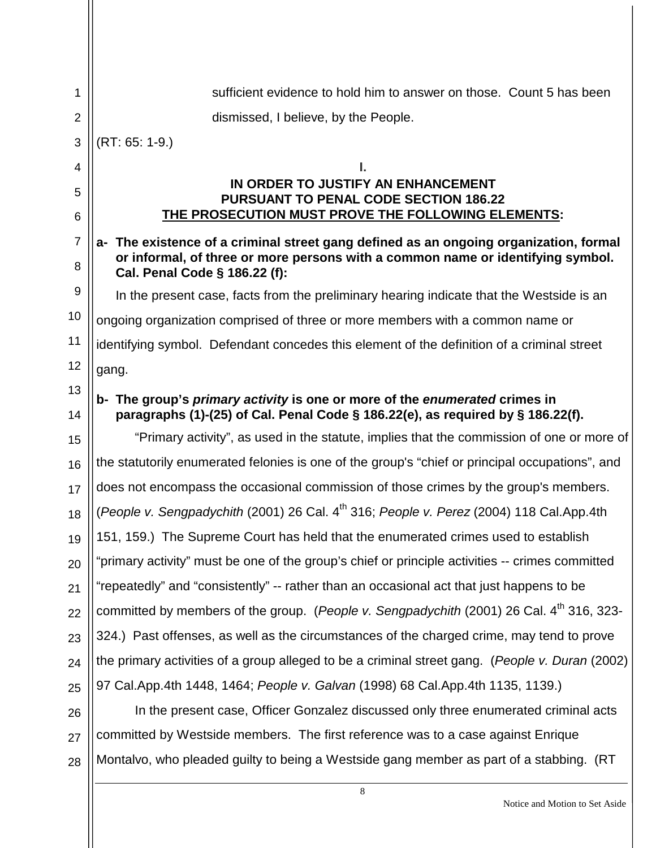| 1              | sufficient evidence to hold him to answer on those. Count 5 has been                                                                                                     |
|----------------|--------------------------------------------------------------------------------------------------------------------------------------------------------------------------|
| $\overline{2}$ | dismissed, I believe, by the People.                                                                                                                                     |
| 3              | $(RT: 65: 1-9.)$                                                                                                                                                         |
| 4              |                                                                                                                                                                          |
| 5              | IN ORDER TO JUSTIFY AN ENHANCEMENT<br><b>PURSUANT TO PENAL CODE SECTION 186.22</b>                                                                                       |
| 6              | THE PROSECUTION MUST PROVE THE FOLLOWING ELEMENTS:                                                                                                                       |
| $\overline{7}$ | a- The existence of a criminal street gang defined as an ongoing organization, formal<br>or informal, of three or more persons with a common name or identifying symbol. |
| 8              | Cal. Penal Code § 186.22 (f):                                                                                                                                            |
| 9              | In the present case, facts from the preliminary hearing indicate that the Westside is an                                                                                 |
| 10             | ongoing organization comprised of three or more members with a common name or                                                                                            |
| 11             | identifying symbol. Defendant concedes this element of the definition of a criminal street                                                                               |
| 12             | gang.                                                                                                                                                                    |
| 13<br>14       | b- The group's primary activity is one or more of the enumerated crimes in<br>paragraphs (1)-(25) of Cal. Penal Code § 186.22(e), as required by § 186.22(f).            |
| 15             | "Primary activity", as used in the statute, implies that the commission of one or more of                                                                                |
| 16             | the statutorily enumerated felonies is one of the group's "chief or principal occupations", and                                                                          |
| 17             | does not encompass the occasional commission of those crimes by the group's members.                                                                                     |
| 18             | (People v. Sengpadychith (2001) 26 Cal. 4 <sup>th</sup> 316; People v. Perez (2004) 118 Cal.App.4th                                                                      |
| 19             | 151, 159.) The Supreme Court has held that the enumerated crimes used to establish                                                                                       |
| 20             | "primary activity" must be one of the group's chief or principle activities -- crimes committed                                                                          |
| 21             | "repeatedly" and "consistently" -- rather than an occasional act that just happens to be                                                                                 |
| 22             | committed by members of the group. (People v. Sengpadychith (2001) 26 Cal. 4 <sup>th</sup> 316, 323-                                                                     |
| 23             | 324.) Past offenses, as well as the circumstances of the charged crime, may tend to prove                                                                                |
| 24             | the primary activities of a group alleged to be a criminal street gang. (People v. Duran (2002)                                                                          |
| 25             | 97 Cal.App.4th 1448, 1464; People v. Galvan (1998) 68 Cal.App.4th 1135, 1139.)                                                                                           |
| 26             | In the present case, Officer Gonzalez discussed only three enumerated criminal acts                                                                                      |
| 27             | committed by Westside members. The first reference was to a case against Enrique                                                                                         |
| 28             | Montalvo, who pleaded guilty to being a Westside gang member as part of a stabbing. (RT                                                                                  |
|                | 8                                                                                                                                                                        |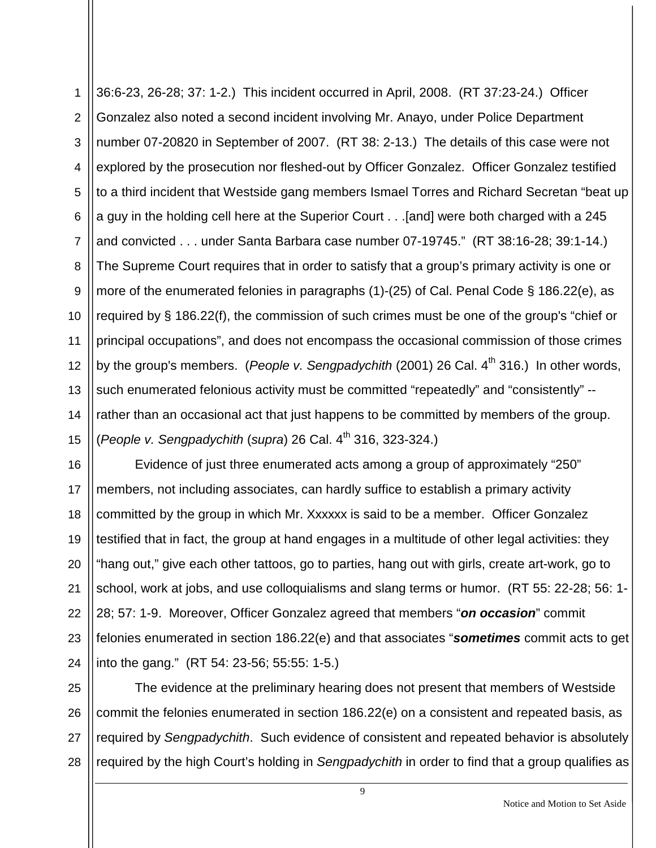1 2 3 4 5 6 7 8 9 10 11 12 13 14 15 36:6-23, 26-28; 37: 1-2.) This incident occurred in April, 2008. (RT 37:23-24.) Officer Gonzalez also noted a second incident involving Mr. Anayo, under Police Department number 07-20820 in September of 2007. (RT 38: 2-13.) The details of this case were not explored by the prosecution nor fleshed-out by Officer Gonzalez. Officer Gonzalez testified to a third incident that Westside gang members Ismael Torres and Richard Secretan "beat up a guy in the holding cell here at the Superior Court . . .[and] were both charged with a 245 and convicted . . . under Santa Barbara case number 07-19745." (RT 38:16-28; 39:1-14.) The Supreme Court requires that in order to satisfy that a group's primary activity is one or more of the enumerated felonies in paragraphs (1)-(25) of Cal. Penal Code § 186.22(e), as required by § 186.22(f), the commission of such crimes must be one of the group's "chief or principal occupations", and does not encompass the occasional commission of those crimes by the group's members. (*People v. Sengpadychith* (2001) 26 Cal. 4<sup>th</sup> 316.) In other words, such enumerated felonious activity must be committed "repeatedly" and "consistently" -rather than an occasional act that just happens to be committed by members of the group. (*People v. Sengpadychith* (*supra*) 26 Cal. 4th 316, 323-324.)

16 17 18 19 20 21 22 23 24 Evidence of just three enumerated acts among a group of approximately "250" members, not including associates, can hardly suffice to establish a primary activity committed by the group in which Mr. Xxxxxx is said to be a member. Officer Gonzalez testified that in fact, the group at hand engages in a multitude of other legal activities: they "hang out," give each other tattoos, go to parties, hang out with girls, create art-work, go to school, work at jobs, and use colloquialisms and slang terms or humor. (RT 55: 22-28; 56: 1- 28; 57: 1-9. Moreover, Officer Gonzalez agreed that members "*on occasion*" commit felonies enumerated in section 186.22(e) and that associates "*sometimes* commit acts to get into the gang." (RT 54: 23-56; 55:55: 1-5.)

25 26 27 28 The evidence at the preliminary hearing does not present that members of Westside commit the felonies enumerated in section 186.22(e) on a consistent and repeated basis, as required by *Sengpadychith*. Such evidence of consistent and repeated behavior is absolutely required by the high Court's holding in *Sengpadychith* in order to find that a group qualifies as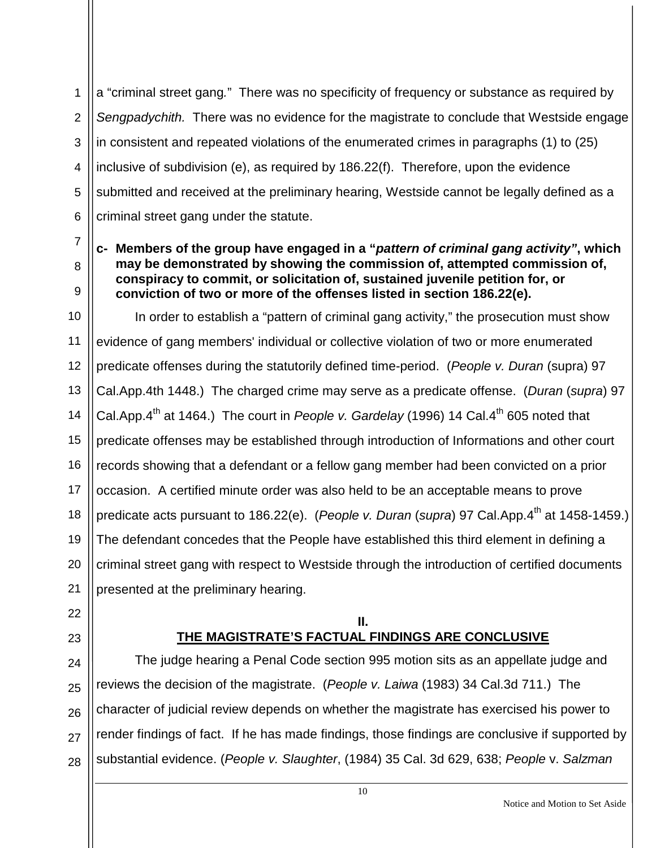2 3 4 5 6 a "criminal street gang*.*"There was no specificity of frequency or substance as required by *Sengpadychith.* There was no evidence for the magistrate to conclude that Westside engage in consistent and repeated violations of the enumerated crimes in paragraphs (1) to (25) inclusive of subdivision (e), as required by 186.22(f). Therefore, upon the evidence submitted and received at the preliminary hearing, Westside cannot be legally defined as a criminal street gang under the statute.

### **c- Members of the group have engaged in a "***pattern of criminal gang activity"***, which may be demonstrated by showing the commission of, attempted commission of, conspiracy to commit, or solicitation of, sustained juvenile petition for, or conviction of two or more of the offenses listed in section 186.22(e).**

10 11 12 13 14 15 16 17 18 19 20 21 In order to establish a "pattern of criminal gang activity," the prosecution must show evidence of gang members' individual or collective violation of two or more enumerated predicate offenses during the statutorily defined time-period. (*People v. Duran* (supra) 97 Cal.App.4th 1448.) The charged crime may serve as a predicate offense. (*Duran* (*supra*) 97 Cal.App.4<sup>th</sup> at 1464.) The court in *People v. Gardelay* (1996) 14 Cal.4<sup>th</sup> 605 noted that predicate offenses may be established through introduction of Informations and other court records showing that a defendant or a fellow gang member had been convicted on a prior occasion. A certified minute order was also held to be an acceptable means to prove predicate acts pursuant to 186.22(e). (People v. Duran (supra) 97 Cal.App.4<sup>th</sup> at 1458-1459.) The defendant concedes that the People have established this third element in defining a criminal street gang with respect to Westside through the introduction of certified documents presented at the preliminary hearing.

22 23

1

7

8

9

#### **II. THE MAGISTRATE'S FACTUAL FINDINGS ARE CONCLUSIVE**

24 25 26 27 28 The judge hearing a Penal Code section 995 motion sits as an appellate judge and reviews the decision of the magistrate. (*People v. Laiwa* (1983) 34 Cal.3d 711.) The character of judicial review depends on whether the magistrate has exercised his power to render findings of fact. If he has made findings, those findings are conclusive if supported by substantial evidence. (*People v. Slaughter*, (1984) 35 Cal. 3d 629, 638; *People* v. *Salzman*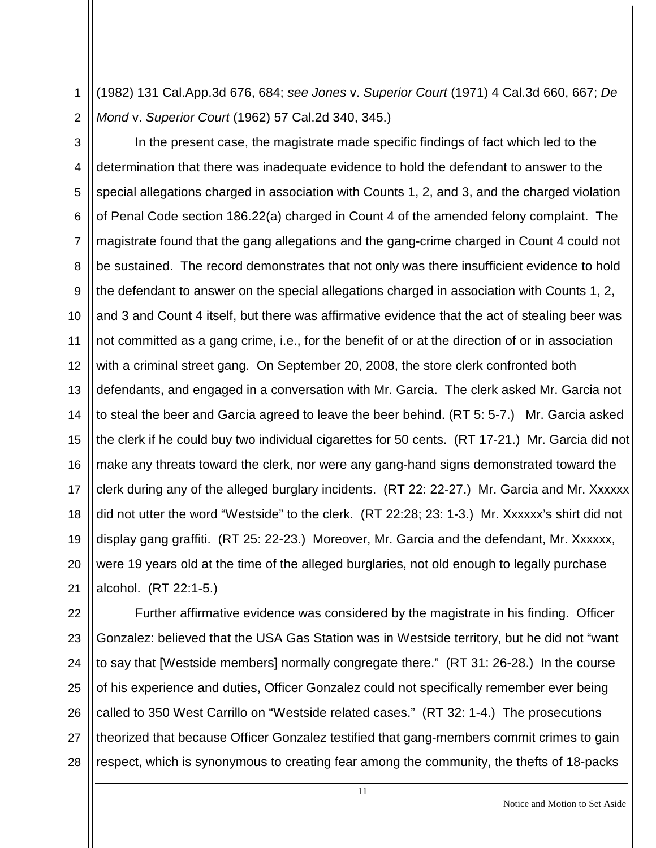(1982) 131 Cal.App.3d 676, 684; *see Jones* v. *Superior Court* (1971) 4 Cal.3d 660, 667; *De Mond* v. *Superior Court* (1962) 57 Cal.2d 340, 345.)

2

1

3 4 5 6 7 8 9 10 11 12 13 14 15 16 17 18 19 20 21 In the present case, the magistrate made specific findings of fact which led to the determination that there was inadequate evidence to hold the defendant to answer to the special allegations charged in association with Counts 1, 2, and 3, and the charged violation of Penal Code section 186.22(a) charged in Count 4 of the amended felony complaint. The magistrate found that the gang allegations and the gang-crime charged in Count 4 could not be sustained. The record demonstrates that not only was there insufficient evidence to hold the defendant to answer on the special allegations charged in association with Counts 1, 2, and 3 and Count 4 itself, but there was affirmative evidence that the act of stealing beer was not committed as a gang crime, i.e., for the benefit of or at the direction of or in association with a criminal street gang. On September 20, 2008, the store clerk confronted both defendants, and engaged in a conversation with Mr. Garcia. The clerk asked Mr. Garcia not to steal the beer and Garcia agreed to leave the beer behind. (RT 5: 5-7.) Mr. Garcia asked the clerk if he could buy two individual cigarettes for 50 cents. (RT 17-21.) Mr. Garcia did not make any threats toward the clerk, nor were any gang-hand signs demonstrated toward the clerk during any of the alleged burglary incidents. (RT 22: 22-27.) Mr. Garcia and Mr. Xxxxxx did not utter the word "Westside" to the clerk. (RT 22:28; 23: 1-3.) Mr. Xxxxxx's shirt did not display gang graffiti. (RT 25: 22-23.) Moreover, Mr. Garcia and the defendant, Mr. Xxxxxx, were 19 years old at the time of the alleged burglaries, not old enough to legally purchase alcohol. (RT 22:1-5.)

22 23 24 25 26 27 28 Further affirmative evidence was considered by the magistrate in his finding. Officer Gonzalez: believed that the USA Gas Station was in Westside territory, but he did not "want to say that [Westside members] normally congregate there." (RT 31: 26-28.) In the course of his experience and duties, Officer Gonzalez could not specifically remember ever being called to 350 West Carrillo on "Westside related cases." (RT 32: 1-4.) The prosecutions theorized that because Officer Gonzalez testified that gang-members commit crimes to gain respect, which is synonymous to creating fear among the community, the thefts of 18-packs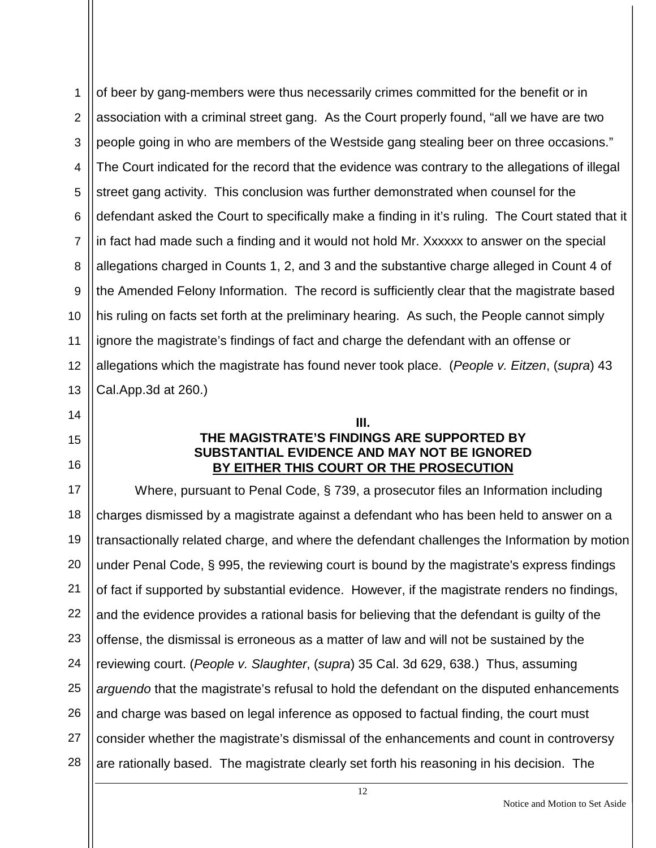1 2 3 4 5 6 7 8 9 10 11 12 13 of beer by gang-members were thus necessarily crimes committed for the benefit or in association with a criminal street gang. As the Court properly found, "all we have are two people going in who are members of the Westside gang stealing beer on three occasions." The Court indicated for the record that the evidence was contrary to the allegations of illegal street gang activity. This conclusion was further demonstrated when counsel for the defendant asked the Court to specifically make a finding in it's ruling. The Court stated that it in fact had made such a finding and it would not hold Mr. Xxxxxx to answer on the special allegations charged in Counts 1, 2, and 3 and the substantive charge alleged in Count 4 of the Amended Felony Information. The record is sufficiently clear that the magistrate based his ruling on facts set forth at the preliminary hearing. As such, the People cannot simply ignore the magistrate's findings of fact and charge the defendant with an offense or allegations which the magistrate has found never took place. (*People v. Eitzen*, (*supra*) 43 Cal.App.3d at 260.)

14 15

16

## **THE MAGISTRATE'S FINDINGS ARE SUPPORTED BY SUBSTANTIAL EVIDENCE AND MAY NOT BE IGNORED BY EITHER THIS COURT OR THE PROSECUTION**

**III.**

17 18 19 20 21 22 23 24 25 26 27 28 Where, pursuant to Penal Code, § 739, a prosecutor files an Information including charges dismissed by a magistrate against a defendant who has been held to answer on a transactionally related charge, and where the defendant challenges the Information by motion under Penal Code, § 995, the reviewing court is bound by the magistrate's express findings of fact if supported by substantial evidence. However, if the magistrate renders no findings, and the evidence provides a rational basis for believing that the defendant is guilty of the offense, the dismissal is erroneous as a matter of law and will not be sustained by the reviewing court. (*People v. Slaughter*, (*supra*) 35 Cal. 3d 629, 638.) Thus, assuming *arguendo* that the magistrate's refusal to hold the defendant on the disputed enhancements and charge was based on legal inference as opposed to factual finding, the court must consider whether the magistrate's dismissal of the enhancements and count in controversy are rationally based. The magistrate clearly set forth his reasoning in his decision. The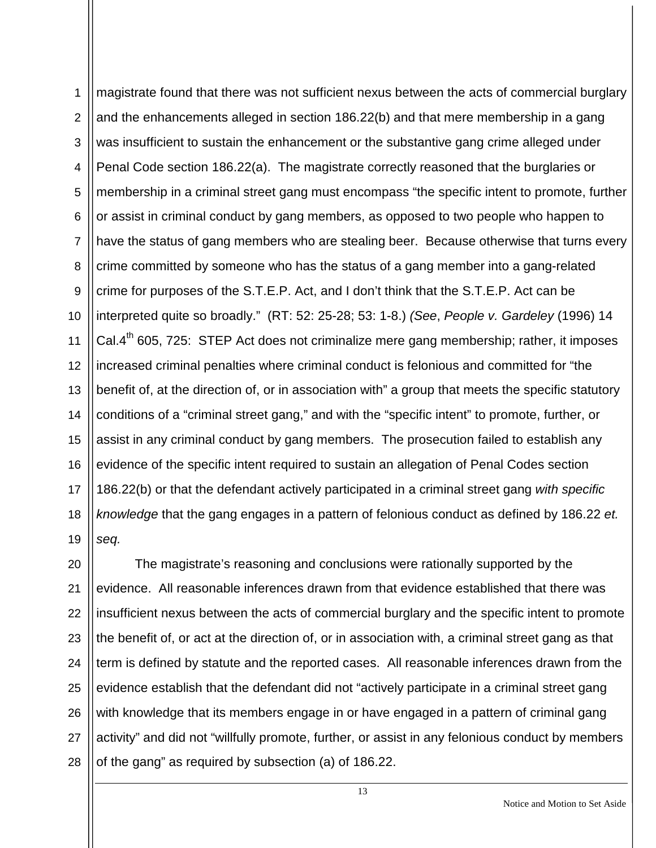1 2 3 4 5 6 7 8 9 10 11 12 13 14 15 16 17 18 19 magistrate found that there was not sufficient nexus between the acts of commercial burglary and the enhancements alleged in section 186.22(b) and that mere membership in a gang was insufficient to sustain the enhancement or the substantive gang crime alleged under Penal Code section 186.22(a). The magistrate correctly reasoned that the burglaries or membership in a criminal street gang must encompass "the specific intent to promote, further or assist in criminal conduct by gang members, as opposed to two people who happen to have the status of gang members who are stealing beer. Because otherwise that turns every crime committed by someone who has the status of a gang member into a gang-related crime for purposes of the S.T.E.P. Act, and I don't think that the S.T.E.P. Act can be interpreted quite so broadly." (RT: 52: 25-28; 53: 1-8.) *(See*, *People v. Gardeley* (1996) 14 Cal. $4<sup>th</sup>$  605, 725: STEP Act does not criminalize mere gang membership; rather, it imposes increased criminal penalties where criminal conduct is felonious and committed for "the benefit of, at the direction of, or in association with" a group that meets the specific statutory conditions of a "criminal street gang," and with the "specific intent" to promote, further, or assist in any criminal conduct by gang members. The prosecution failed to establish any evidence of the specific intent required to sustain an allegation of Penal Codes section 186.22(b) or that the defendant actively participated in a criminal street gang *with specific knowledge* that the gang engages in a pattern of felonious conduct as defined by 186.22 *et. seq.*

20 21 22 23 24 25 26 27 28 The magistrate's reasoning and conclusions were rationally supported by the evidence. All reasonable inferences drawn from that evidence established that there was insufficient nexus between the acts of commercial burglary and the specific intent to promote the benefit of, or act at the direction of, or in association with, a criminal street gang as that term is defined by statute and the reported cases. All reasonable inferences drawn from the evidence establish that the defendant did not "actively participate in a criminal street gang with knowledge that its members engage in or have engaged in a pattern of criminal gang activity" and did not "willfully promote, further, or assist in any felonious conduct by members of the gang" as required by subsection (a) of 186.22.